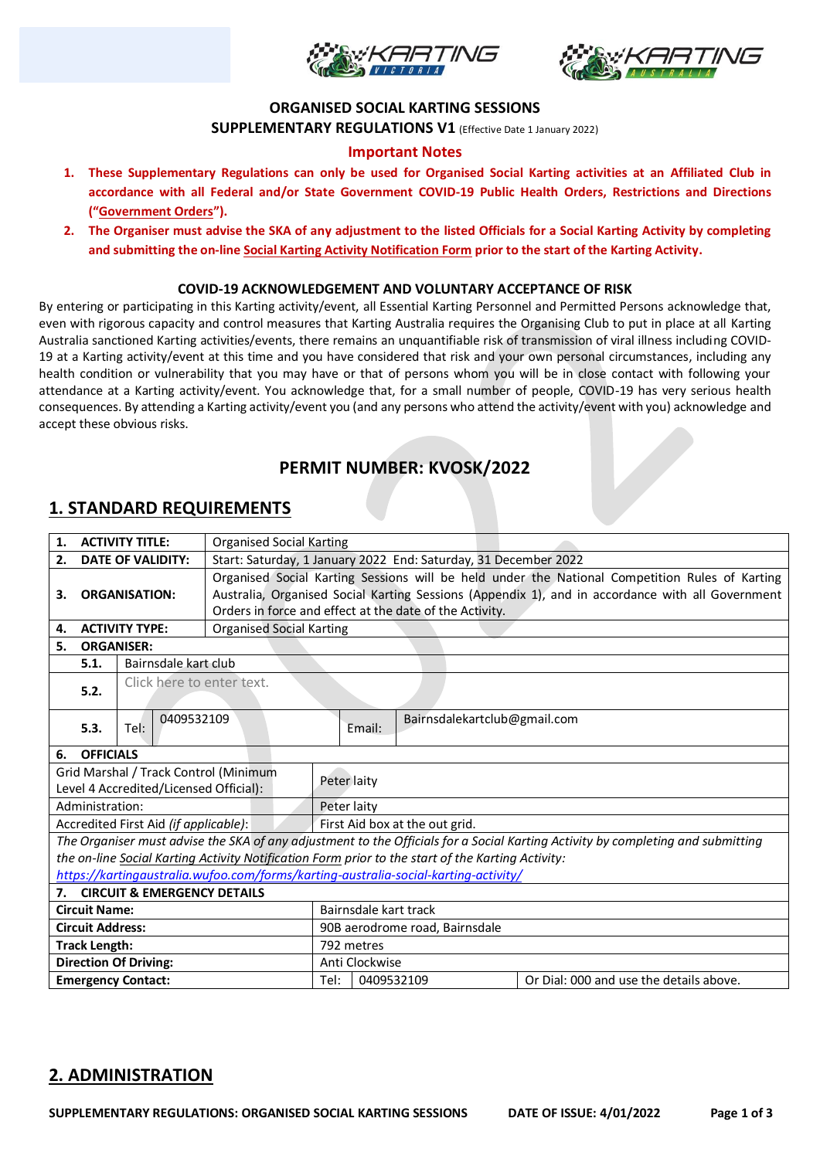



#### **ORGANISED SOCIAL KARTING SESSIONS**

**SUPPLEMENTARY REGULATIONS V1** (Effective Date 1 January 2022)

### **Important Notes**

- **1. These Supplementary Regulations can only be used for Organised Social Karting activities at an Affiliated Club in accordance with all Federal and/or State Government COVID-19 Public Health Orders, Restrictions and Directions ("Government Orders").**
- **2. The Organiser must advise the SKA of any adjustment to the listed Officials for a Social Karting Activity by completing and submitting the on-line Social Karting Activity Notification Form prior to the start of the Karting Activity.**

#### **COVID-19 ACKNOWLEDGEMENT AND VOLUNTARY ACCEPTANCE OF RISK**

By entering or participating in this Karting activity/event, all Essential Karting Personnel and Permitted Persons acknowledge that, even with rigorous capacity and control measures that Karting Australia requires the Organising Club to put in place at all Karting Australia sanctioned Karting activities/events, there remains an unquantifiable risk of transmission of viral illness including COVID-19 at a Karting activity/event at this time and you have considered that risk and your own personal circumstances, including any health condition or vulnerability that you may have or that of persons whom you will be in close contact with following your attendance at a Karting activity/event. You acknowledge that, for a small number of people, COVID-19 has very serious health consequences. By attending a Karting activity/event you (and any persons who attend the activity/event with you) acknowledge and accept these obvious risks.

## **PERMIT NUMBER: KVOSK/2022**

### **1. STANDARD REQUIREMENTS**

| 1.                                                                                  |                              | <b>ACTIVITY TITLE:</b>                | <b>Organised Social Karting</b>                                                                  |                                |            |                                                                                                   |                                                                                                                                 |  |
|-------------------------------------------------------------------------------------|------------------------------|---------------------------------------|--------------------------------------------------------------------------------------------------|--------------------------------|------------|---------------------------------------------------------------------------------------------------|---------------------------------------------------------------------------------------------------------------------------------|--|
| 2.<br><b>DATE OF VALIDITY:</b>                                                      |                              |                                       | Start: Saturday, 1 January 2022 End: Saturday, 31 December 2022                                  |                                |            |                                                                                                   |                                                                                                                                 |  |
| <b>ORGANISATION:</b><br>З.                                                          |                              |                                       | Organised Social Karting Sessions will be held under the National Competition Rules of Karting   |                                |            |                                                                                                   |                                                                                                                                 |  |
|                                                                                     |                              |                                       | Australia, Organised Social Karting Sessions (Appendix 1), and in accordance with all Government |                                |            |                                                                                                   |                                                                                                                                 |  |
|                                                                                     |                              |                                       | Orders in force and effect at the date of the Activity.                                          |                                |            |                                                                                                   |                                                                                                                                 |  |
| <b>ACTIVITY TYPE:</b><br>4.                                                         |                              |                                       | <b>Organised Social Karting</b>                                                                  |                                |            |                                                                                                   |                                                                                                                                 |  |
| <b>ORGANISER:</b><br>5.                                                             |                              |                                       |                                                                                                  |                                |            |                                                                                                   |                                                                                                                                 |  |
|                                                                                     | Bairnsdale kart club<br>5.1. |                                       |                                                                                                  |                                |            |                                                                                                   |                                                                                                                                 |  |
|                                                                                     |                              | Click here to enter text.             |                                                                                                  |                                |            |                                                                                                   |                                                                                                                                 |  |
| 5.2.                                                                                |                              |                                       |                                                                                                  |                                |            |                                                                                                   |                                                                                                                                 |  |
|                                                                                     |                              | 0409532109                            |                                                                                                  |                                |            | Bairnsdalekartclub@gmail.com                                                                      |                                                                                                                                 |  |
|                                                                                     | 5.3.                         | Tel:                                  |                                                                                                  |                                | Email:     |                                                                                                   |                                                                                                                                 |  |
| 6.                                                                                  | <b>OFFICIALS</b>             |                                       |                                                                                                  |                                |            |                                                                                                   |                                                                                                                                 |  |
|                                                                                     |                              | Grid Marshal / Track Control (Minimum |                                                                                                  |                                |            |                                                                                                   |                                                                                                                                 |  |
| Level 4 Accredited/Licensed Official):                                              |                              |                                       |                                                                                                  | Peter laity                    |            |                                                                                                   |                                                                                                                                 |  |
| Administration:                                                                     |                              |                                       |                                                                                                  | Peter laity                    |            |                                                                                                   |                                                                                                                                 |  |
| Accredited First Aid (if applicable):                                               |                              |                                       |                                                                                                  | First Aid box at the out grid. |            |                                                                                                   |                                                                                                                                 |  |
|                                                                                     |                              |                                       |                                                                                                  |                                |            |                                                                                                   | The Organiser must advise the SKA of any adjustment to the Officials for a Social Karting Activity by completing and submitting |  |
|                                                                                     |                              |                                       |                                                                                                  |                                |            | the on-line Social Karting Activity Notification Form prior to the start of the Karting Activity: |                                                                                                                                 |  |
| https://kartingaustralia.wufoo.com/forms/karting-australia-social-karting-activity/ |                              |                                       |                                                                                                  |                                |            |                                                                                                   |                                                                                                                                 |  |
|                                                                                     |                              | 7. CIRCUIT & EMERGENCY DETAILS        |                                                                                                  |                                |            |                                                                                                   |                                                                                                                                 |  |
| <b>Circuit Name:</b>                                                                |                              |                                       |                                                                                                  | Bairnsdale kart track          |            |                                                                                                   |                                                                                                                                 |  |
| <b>Circuit Address:</b>                                                             |                              |                                       |                                                                                                  | 90B aerodrome road, Bairnsdale |            |                                                                                                   |                                                                                                                                 |  |
| <b>Track Length:</b>                                                                |                              |                                       |                                                                                                  | 792 metres                     |            |                                                                                                   |                                                                                                                                 |  |
| <b>Direction Of Driving:</b>                                                        |                              |                                       |                                                                                                  | Anti Clockwise                 |            |                                                                                                   |                                                                                                                                 |  |
| <b>Emergency Contact:</b>                                                           |                              |                                       |                                                                                                  | Tel:                           | 0409532109 |                                                                                                   | Or Dial: 000 and use the details above.                                                                                         |  |

### **2. ADMINISTRATION**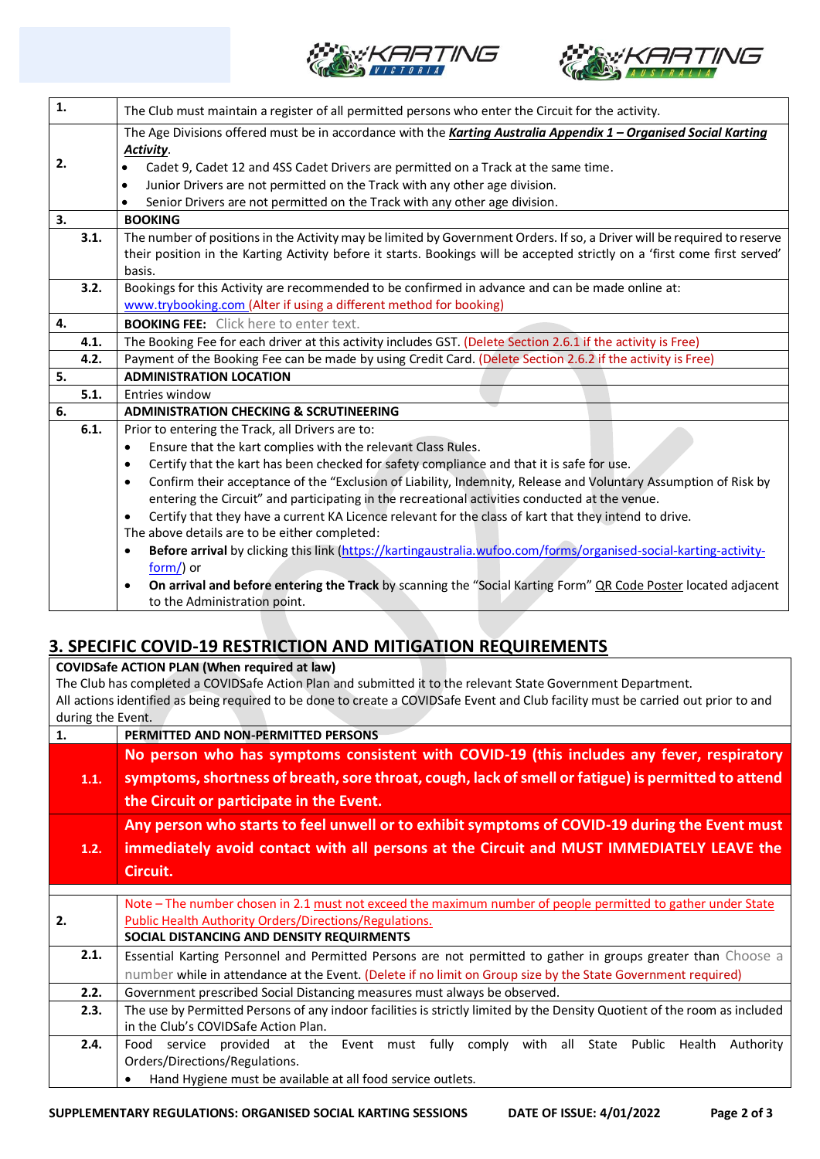



| 1.   | The Club must maintain a register of all permitted persons who enter the Circuit for the activity.                             |  |  |  |  |  |
|------|--------------------------------------------------------------------------------------------------------------------------------|--|--|--|--|--|
|      | The Age Divisions offered must be in accordance with the Karting Australia Appendix 1 - Organised Social Karting               |  |  |  |  |  |
|      | Activity.                                                                                                                      |  |  |  |  |  |
| 2.   | Cadet 9, Cadet 12 and 4SS Cadet Drivers are permitted on a Track at the same time.<br>$\bullet$                                |  |  |  |  |  |
|      | Junior Drivers are not permitted on the Track with any other age division.<br>$\bullet$                                        |  |  |  |  |  |
|      | Senior Drivers are not permitted on the Track with any other age division.                                                     |  |  |  |  |  |
| 3.   | <b>BOOKING</b>                                                                                                                 |  |  |  |  |  |
| 3.1. | The number of positions in the Activity may be limited by Government Orders. If so, a Driver will be required to reserve       |  |  |  |  |  |
|      | their position in the Karting Activity before it starts. Bookings will be accepted strictly on a 'first come first served'     |  |  |  |  |  |
|      | basis.                                                                                                                         |  |  |  |  |  |
| 3.2. | Bookings for this Activity are recommended to be confirmed in advance and can be made online at:                               |  |  |  |  |  |
|      | www.trybooking.com (Alter if using a different method for booking)                                                             |  |  |  |  |  |
| 4.   | <b>BOOKING FEE:</b> Click here to enter text.                                                                                  |  |  |  |  |  |
| 4.1. | The Booking Fee for each driver at this activity includes GST. (Delete Section 2.6.1 if the activity is Free)                  |  |  |  |  |  |
| 4.2. | Payment of the Booking Fee can be made by using Credit Card. (Delete Section 2.6.2 if the activity is Free)                    |  |  |  |  |  |
| 5.   | <b>ADMINISTRATION LOCATION</b>                                                                                                 |  |  |  |  |  |
| 5.1. | Entries window                                                                                                                 |  |  |  |  |  |
| 6.   | <b>ADMINISTRATION CHECKING &amp; SCRUTINEERING</b>                                                                             |  |  |  |  |  |
| 6.1. | Prior to entering the Track, all Drivers are to:                                                                               |  |  |  |  |  |
|      | Ensure that the kart complies with the relevant Class Rules.<br>٠                                                              |  |  |  |  |  |
|      | Certify that the kart has been checked for safety compliance and that it is safe for use.<br>$\bullet$                         |  |  |  |  |  |
|      | Confirm their acceptance of the "Exclusion of Liability, Indemnity, Release and Voluntary Assumption of Risk by<br>$\bullet$   |  |  |  |  |  |
|      | entering the Circuit" and participating in the recreational activities conducted at the venue.                                 |  |  |  |  |  |
|      | Certify that they have a current KA Licence relevant for the class of kart that they intend to drive.<br>$\bullet$             |  |  |  |  |  |
|      | The above details are to be either completed:                                                                                  |  |  |  |  |  |
|      | Before arrival by clicking this link (https://kartingaustralia.wufoo.com/forms/organised-social-karting-activity-<br>$\bullet$ |  |  |  |  |  |
|      | form/) or                                                                                                                      |  |  |  |  |  |
|      | On arrival and before entering the Track by scanning the "Social Karting Form" QR Code Poster located adjacent<br>$\bullet$    |  |  |  |  |  |
|      | to the Administration point.                                                                                                   |  |  |  |  |  |

# **3. SPECIFIC COVID-19 RESTRICTION AND MITIGATION REQUIREMENTS**

**COVIDSafe ACTION PLAN (When required at law)** The Club has completed a COVIDSafe Action Plan and submitted it to the relevant State Government Department. All actions identified as being required to be done to create a COVIDSafe Event and Club facility must be carried out prior to and during the Event. **1. PERMITTED AND NON-PERMITTED PERSONS 1.1. No person who has symptoms consistent with COVID-19 (this includes any fever, respiratory symptoms, shortness of breath, sore throat, cough, lack of smell or fatigue) is permitted to attend the Circuit or participate in the Event. 1.2. Any person who starts to feel unwell or to exhibit symptoms of COVID-19 during the Event must immediately avoid contact with all persons at the Circuit and MUST IMMEDIATELY LEAVE the Circuit. 2.** Note – The number chosen in 2.1 must not exceed the maximum number of people permitted to gather under State Public Health Authority Orders/Directions/Regulations. **SOCIAL DISTANCING AND DENSITY REQUIRMENTS**  2.1. | Essential Karting Personnel and Permitted Persons are not permitted to gather in groups greater than Choose a number while in attendance at the Event. (Delete if no limit on Group size by the State Government required) **2.2.** Government prescribed Social Distancing measures must always be observed. **2.3.** The use by Permitted Persons of any indoor facilities is strictly limited by the Density Quotient of the room as included in the Club's COVIDSafe Action Plan. 2.4. Food service provided at the Event must fully comply with all State Public Health Authority Orders/Directions/Regulations. • Hand Hygiene must be available at all food service outlets.